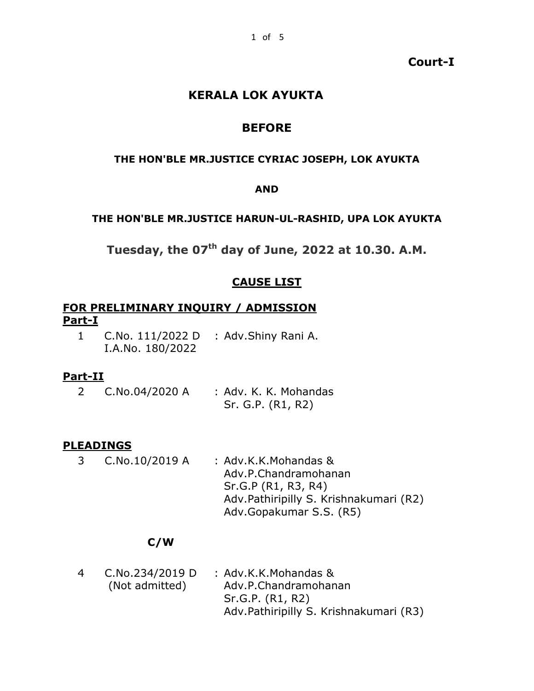## **Court-I**

# **KERALA LOK AYUKTA**

# **BEFORE**

#### **THE HON'BLE MR.JUSTICE CYRIAC JOSEPH, LOK AYUKTA**

#### **AND**

#### **THE HON'BLE MR.JUSTICE HARUN-UL-RASHID, UPA LOK AYUKTA**

**Tuesday, the 07th day of June, 2022 at 10.30. A.M.**

# **CAUSE LIST**

## **FOR PRELIMINARY INQUIRY / ADMISSION Part-I**

1 C.No. 111/2022 D I.A.No. 180/2022 : Adv.Shiny Rani A.

## **Part-II**

2 C.No.04/2020 A : Adv. K. K. Mohandas Sr. G.P. (R1, R2)

#### **PLEADINGS**

3 C.No.10/2019 A : Adv.K.K.Mohandas & Adv.P.Chandramohanan Sr.G.P (R1, R3, R4) Adv.Pathiripilly S. Krishnakumari (R2) Adv.Gopakumar S.S. (R5)

# **C/W**

4 C.No.234/2019 D (Not admitted) : Adv.K.K.Mohandas & Adv.P.Chandramohanan Sr.G.P. (R1, R2) Adv.Pathiripilly S. Krishnakumari (R3)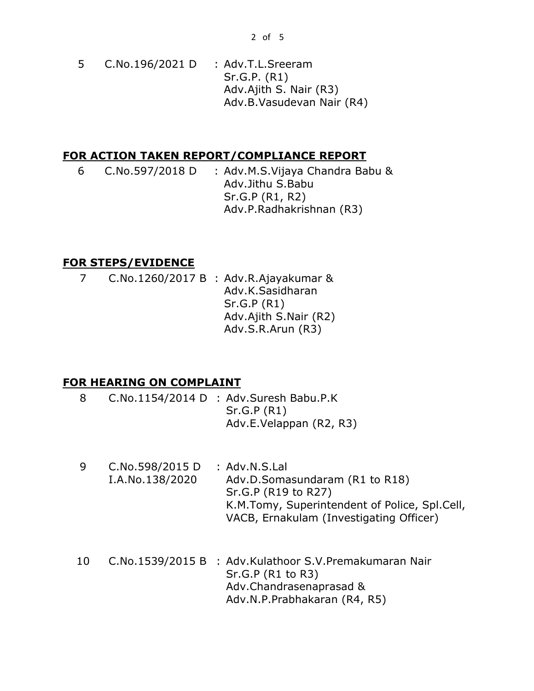5 C.No.196/2021 D : Adv.T.L.Sreeram Sr.G.P. (R1) Adv.Ajith S. Nair (R3) Adv.B.Vasudevan Nair (R4)

# **FOR ACTION TAKEN REPORT/COMPLIANCE REPORT**

6 C.No.597/2018 D : Adv.M.S.Vijaya Chandra Babu & Adv.Jithu S.Babu Sr.G.P (R1, R2) Adv.P.Radhakrishnan (R3)

# **FOR STEPS/EVIDENCE**

7 C.No.1260/2017 B : Adv.R.Ajayakumar & Adv.K.Sasidharan Sr.G.P (R1) Adv.Ajith S.Nair (R2) Adv.S.R.Arun (R3)

# **FOR HEARING ON COMPLAINT**

- 8 C.No.1154/2014 D : Adv.Suresh Babu.P.K Sr.G.P (R1) Adv.E.Velappan (R2, R3)
- 9 C.No.598/2015 D I.A.No.138/2020 : Adv.N.S.Lal Adv.D.Somasundaram (R1 to R18) Sr.G.P (R19 to R27) K.M.Tomy, Superintendent of Police, Spl.Cell, VACB, Ernakulam (Investigating Officer)
- 10 C.No.1539/2015 B : Adv.Kulathoor S.V.Premakumaran Nair Sr.G.P (R1 to R3) Adv.Chandrasenaprasad & Adv.N.P.Prabhakaran (R4, R5)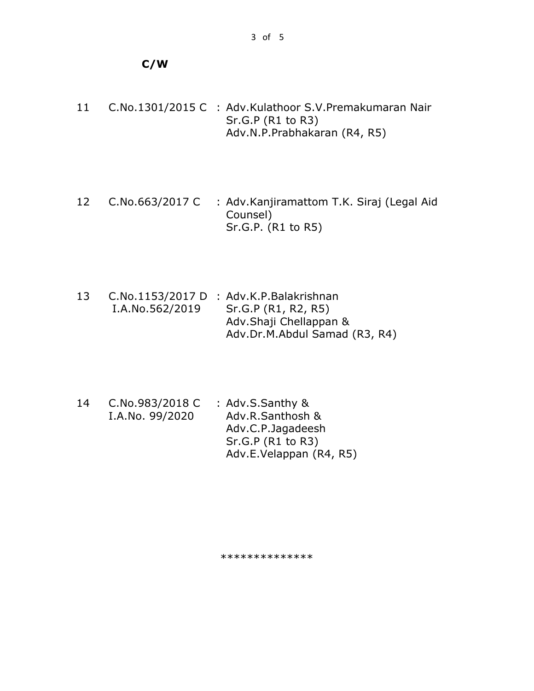# **C/W**

- 11 C.No.1301/2015 C : Adv.Kulathoor S.V.Premakumaran Nair Sr.G.P (R1 to R3) Adv.N.P.Prabhakaran (R4, R5)
- 12 C.No.663/2017 C : Adv.Kanjiramattom T.K. Siraj (Legal Aid Counsel) Sr.G.P. (R1 to R5)
- 13 C.No.1153/2017 D : Adv.K.P.Balakrishnan I.A.No.562/2019 Sr.G.P (R1, R2, R5) Adv.Shaji Chellappan & Adv.Dr.M.Abdul Samad (R3, R4)
- 14 C.No.983/2018 C I.A.No. 99/2020 : Adv.S.Santhy & Adv.R.Santhosh & Adv.C.P.Jagadeesh Sr.G.P (R1 to R3) Adv.E.Velappan (R4, R5)

\*\*\*\*\*\*\*\*\*\*\*\*\*\*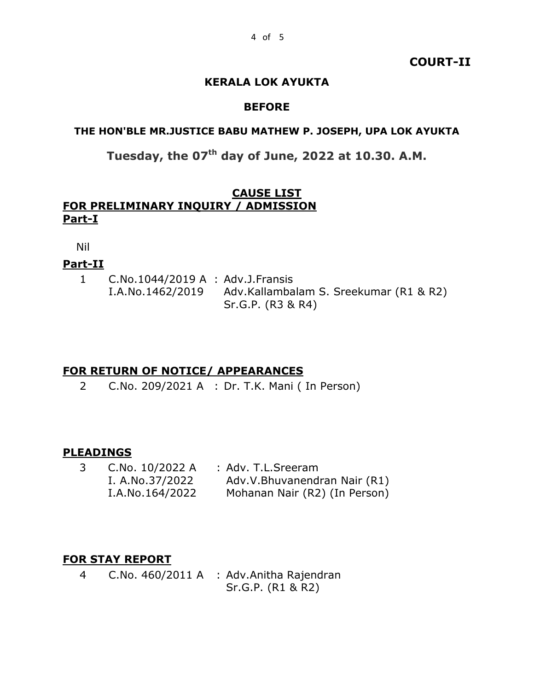## **COURT-II**

# **KERALA LOK AYUKTA**

#### **BEFORE**

#### **THE HON'BLE MR.JUSTICE BABU MATHEW P. JOSEPH, UPA LOK AYUKTA**

# **Tuesday, the 07th day of June, 2022 at 10.30. A.M.**

# **CAUSE LIST FOR PRELIMINARY INQUIRY / ADMISSION Part-I**

Nil

## **Part-II**

1 C.No.1044/2019 A : Adv.J.Fransis I.A.No.1462/2019 Adv.Kallambalam S. Sreekumar (R1 & R2) Sr.G.P. (R3 & R4)

# **FOR RETURN OF NOTICE/ APPEARANCES**

2 C.No. 209/2021 A : Dr. T.K. Mani ( In Person)

# **PLEADINGS**

3 C.No. 10/2022 A : Adv. T.L.Sreeram I. A.No.37/2022 I.A.No.164/2022 Adv.V.Bhuvanendran Nair (R1) Mohanan Nair (R2) (In Person)

# **FOR STAY REPORT**

4 C.No. 460/2011 A : Adv.Anitha Rajendran Sr.G.P. (R1 & R2)